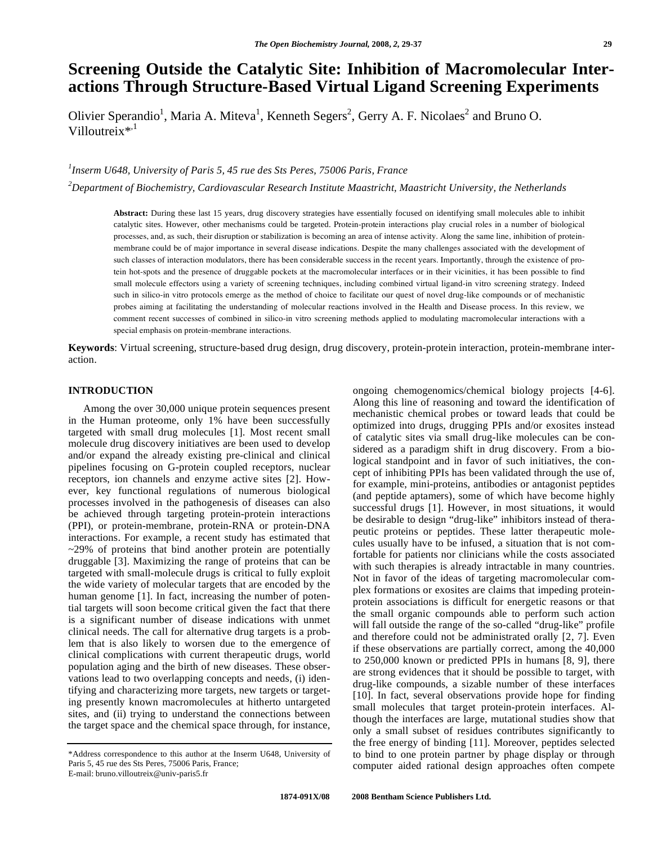# **Screening Outside the Catalytic Site: Inhibition of Macromolecular Interactions Through Structure-Based Virtual Ligand Screening Experiments**

Olivier Sperandio<sup>1</sup>, Maria A. Miteva<sup>1</sup>, Kenneth Segers<sup>2</sup>, Gerry A. F. Nicolaes<sup>2</sup> and Bruno O. Villoutreix $*$ ,<sup>1</sup>

# *1 Inserm U648, University of Paris 5, 45 rue des Sts Peres, 75006 Paris, France*

*2 Department of Biochemistry, Cardiovascular Research Institute Maastricht, Maastricht University, the Netherlands* 

**Abstract:** During these last 15 years, drug discovery strategies have essentially focused on identifying small molecules able to inhibit catalytic sites. However, other mechanisms could be targeted. Protein-protein interactions play crucial roles in a number of biological processes, and, as such, their disruption or stabilization is becoming an area of intense activity. Along the same line, inhibition of proteinmembrane could be of major importance in several disease indications. Despite the many challenges associated with the development of such classes of interaction modulators, there has been considerable success in the recent years. Importantly, through the existence of protein hot-spots and the presence of druggable pockets at the macromolecular interfaces or in their vicinities, it has been possible to find small molecule effectors using a variety of screening techniques, including combined virtual ligand-in vitro screening strategy. Indeed such in silico-in vitro protocols emerge as the method of choice to facilitate our quest of novel drug-like compounds or of mechanistic probes aiming at facilitating the understanding of molecular reactions involved in the Health and Disease process. In this review, we comment recent successes of combined in silico-in vitro screening methods applied to modulating macromolecular interactions with a special emphasis on protein-membrane interactions.

**Keywords**: Virtual screening, structure-based drug design, drug discovery, protein-protein interaction, protein-membrane interaction.

#### **INTRODUCTION**

 Among the over 30,000 unique protein sequences present in the Human proteome, only 1% have been successfully targeted with small drug molecules [1]. Most recent small molecule drug discovery initiatives are been used to develop and/or expand the already existing pre-clinical and clinical pipelines focusing on G-protein coupled receptors, nuclear receptors, ion channels and enzyme active sites [2]. However, key functional regulations of numerous biological processes involved in the pathogenesis of diseases can also be achieved through targeting protein-protein interactions (PPI), or protein-membrane, protein-RNA or protein-DNA interactions. For example, a recent study has estimated that  $\sim$ 29% of proteins that bind another protein are potentially druggable [3]. Maximizing the range of proteins that can be targeted with small-molecule drugs is critical to fully exploit the wide variety of molecular targets that are encoded by the human genome [1]. In fact, increasing the number of potential targets will soon become critical given the fact that there is a significant number of disease indications with unmet clinical needs. The call for alternative drug targets is a problem that is also likely to worsen due to the emergence of clinical complications with current therapeutic drugs, world population aging and the birth of new diseases. These observations lead to two overlapping concepts and needs, (i) identifying and characterizing more targets, new targets or targeting presently known macromolecules at hitherto untargeted sites, and (ii) trying to understand the connections between the target space and the chemical space through, for instance,

ongoing chemogenomics/chemical biology projects [4-6]. Along this line of reasoning and toward the identification of mechanistic chemical probes or toward leads that could be optimized into drugs, drugging PPIs and/or exosites instead of catalytic sites via small drug-like molecules can be considered as a paradigm shift in drug discovery. From a biological standpoint and in favor of such initiatives, the concept of inhibiting PPIs has been validated through the use of, for example, mini-proteins, antibodies or antagonist peptides (and peptide aptamers), some of which have become highly successful drugs [1]. However, in most situations, it would be desirable to design "drug-like" inhibitors instead of therapeutic proteins or peptides. These latter therapeutic molecules usually have to be infused, a situation that is not comfortable for patients nor clinicians while the costs associated with such therapies is already intractable in many countries. Not in favor of the ideas of targeting macromolecular complex formations or exosites are claims that impeding proteinprotein associations is difficult for energetic reasons or that the small organic compounds able to perform such action will fall outside the range of the so-called "drug-like" profile and therefore could not be administrated orally [2, 7]. Even if these observations are partially correct, among the 40,000 to 250,000 known or predicted PPIs in humans [8, 9], there are strong evidences that it should be possible to target, with drug-like compounds, a sizable number of these interfaces [10]. In fact, several observations provide hope for finding small molecules that target protein-protein interfaces. Although the interfaces are large, mutational studies show that only a small subset of residues contributes significantly to the free energy of binding [11]. Moreover, peptides selected to bind to one protein partner by phage display or through computer aided rational design approaches often compete

<sup>\*</sup>Address correspondence to this author at the Inserm U648, University of Paris 5, 45 rue des Sts Peres, 75006 Paris, France;

E-mail: bruno.villoutreix@univ-paris5.fr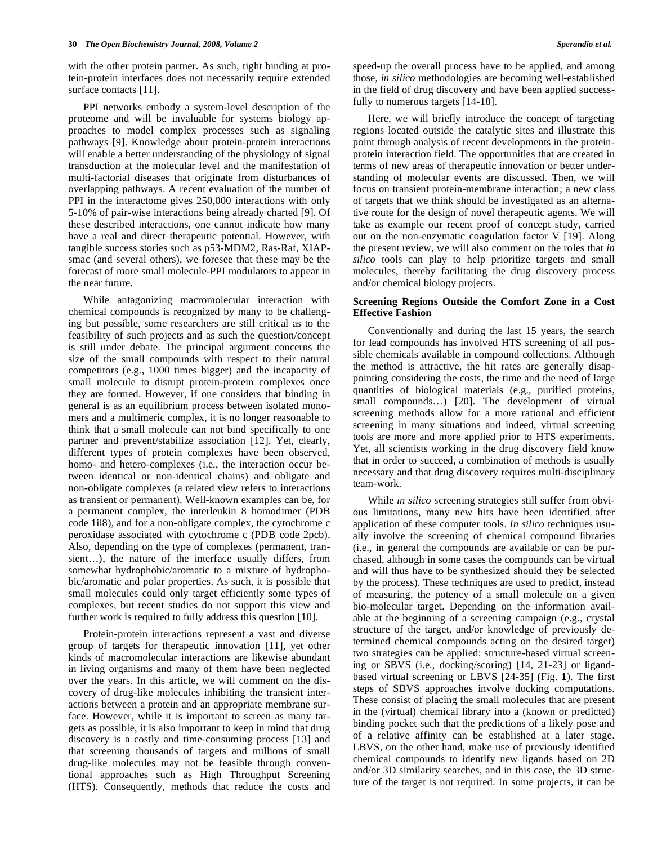with the other protein partner. As such, tight binding at protein-protein interfaces does not necessarily require extended surface contacts [11].

 PPI networks embody a system-level description of the proteome and will be invaluable for systems biology approaches to model complex processes such as signaling pathways [9]. Knowledge about protein-protein interactions will enable a better understanding of the physiology of signal transduction at the molecular level and the manifestation of multi-factorial diseases that originate from disturbances of overlapping pathways. A recent evaluation of the number of PPI in the interactome gives 250,000 interactions with only 5-10% of pair-wise interactions being already charted [9]. Of these described interactions, one cannot indicate how many have a real and direct therapeutic potential. However, with tangible success stories such as p53-MDM2, Ras-Raf, XIAPsmac (and several others), we foresee that these may be the forecast of more small molecule-PPI modulators to appear in the near future.

 While antagonizing macromolecular interaction with chemical compounds is recognized by many to be challenging but possible, some researchers are still critical as to the feasibility of such projects and as such the question/concept is still under debate. The principal argument concerns the size of the small compounds with respect to their natural competitors (e.g., 1000 times bigger) and the incapacity of small molecule to disrupt protein-protein complexes once they are formed. However, if one considers that binding in general is as an equilibrium process between isolated monomers and a multimeric complex, it is no longer reasonable to think that a small molecule can not bind specifically to one partner and prevent/stabilize association [12]. Yet, clearly, different types of protein complexes have been observed, homo- and hetero-complexes (i.e., the interaction occur between identical or non-identical chains) and obligate and non-obligate complexes (a related view refers to interactions as transient or permanent). Well-known examples can be, for a permanent complex, the interleukin 8 homodimer (PDB code 1il8), and for a non-obligate complex, the cytochrome c peroxidase associated with cytochrome c (PDB code 2pcb). Also, depending on the type of complexes (permanent, transient…), the nature of the interface usually differs, from somewhat hydrophobic/aromatic to a mixture of hydrophobic/aromatic and polar properties. As such, it is possible that small molecules could only target efficiently some types of complexes, but recent studies do not support this view and further work is required to fully address this question [10].

 Protein-protein interactions represent a vast and diverse group of targets for therapeutic innovation [11], yet other kinds of macromolecular interactions are likewise abundant in living organisms and many of them have been neglected over the years. In this article, we will comment on the discovery of drug-like molecules inhibiting the transient interactions between a protein and an appropriate membrane surface. However, while it is important to screen as many targets as possible, it is also important to keep in mind that drug discovery is a costly and time-consuming process [13] and that screening thousands of targets and millions of small drug-like molecules may not be feasible through conventional approaches such as High Throughput Screening (HTS). Consequently, methods that reduce the costs and

speed-up the overall process have to be applied, and among those*, in silico* methodologies are becoming well-established in the field of drug discovery and have been applied successfully to numerous targets [14-18].

 Here, we will briefly introduce the concept of targeting regions located outside the catalytic sites and illustrate this point through analysis of recent developments in the proteinprotein interaction field. The opportunities that are created in terms of new areas of therapeutic innovation or better understanding of molecular events are discussed. Then, we will focus on transient protein-membrane interaction; a new class of targets that we think should be investigated as an alternative route for the design of novel therapeutic agents. We will take as example our recent proof of concept study, carried out on the non-enzymatic coagulation factor V [19]. Along the present review, we will also comment on the roles that *in silico* tools can play to help prioritize targets and small molecules, thereby facilitating the drug discovery process and/or chemical biology projects.

#### **Screening Regions Outside the Comfort Zone in a Cost Effective Fashion**

 Conventionally and during the last 15 years, the search for lead compounds has involved HTS screening of all possible chemicals available in compound collections. Although the method is attractive, the hit rates are generally disappointing considering the costs, the time and the need of large quantities of biological materials (e.g., purified proteins, small compounds...) [20]. The development of virtual screening methods allow for a more rational and efficient screening in many situations and indeed, virtual screening tools are more and more applied prior to HTS experiments. Yet, all scientists working in the drug discovery field know that in order to succeed, a combination of methods is usually necessary and that drug discovery requires multi-disciplinary team-work.

 While *in silico* screening strategies still suffer from obvious limitations, many new hits have been identified after application of these computer tools. *In silico* techniques usually involve the screening of chemical compound libraries (i.e., in general the compounds are available or can be purchased, although in some cases the compounds can be virtual and will thus have to be synthesized should they be selected by the process). These techniques are used to predict, instead of measuring, the potency of a small molecule on a given bio-molecular target. Depending on the information available at the beginning of a screening campaign (e.g., crystal structure of the target, and/or knowledge of previously determined chemical compounds acting on the desired target) two strategies can be applied: structure-based virtual screening or SBVS (i.e., docking/scoring) [14, 21-23] or ligandbased virtual screening or LBVS [24-35] (Fig. **1**). The first steps of SBVS approaches involve docking computations. These consist of placing the small molecules that are present in the (virtual) chemical library into a (known or predicted) binding pocket such that the predictions of a likely pose and of a relative affinity can be established at a later stage. LBVS, on the other hand, make use of previously identified chemical compounds to identify new ligands based on 2D and/or 3D similarity searches, and in this case, the 3D structure of the target is not required. In some projects, it can be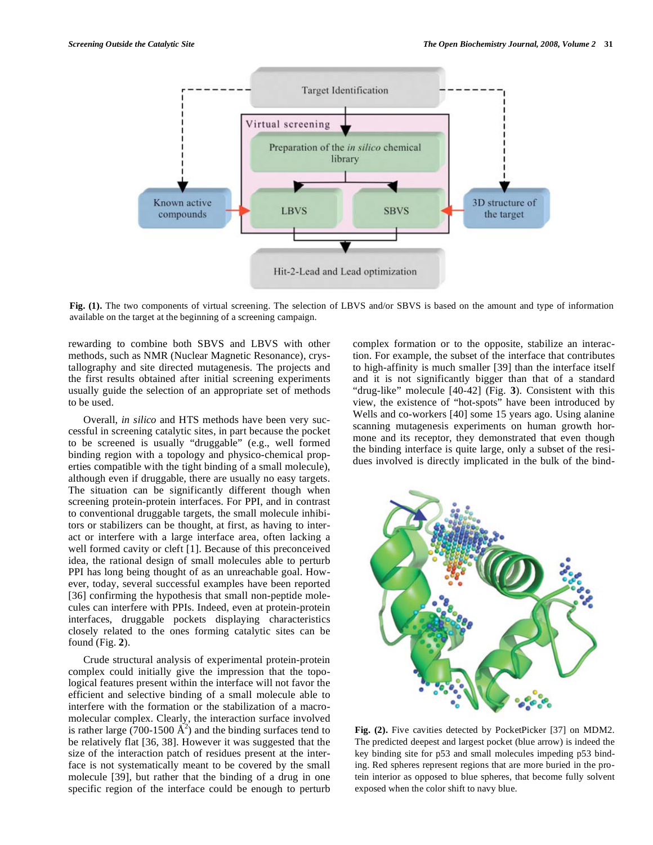

**Fig. (1).** The two components of virtual screening. The selection of LBVS and/or SBVS is based on the amount and type of information available on the target at the beginning of a screening campaign.

rewarding to combine both SBVS and LBVS with other methods, such as NMR (Nuclear Magnetic Resonance), crystallography and site directed mutagenesis. The projects and the first results obtained after initial screening experiments usually guide the selection of an appropriate set of methods to be used.

 Overall, *in silico* and HTS methods have been very successful in screening catalytic sites, in part because the pocket to be screened is usually "druggable" (e.g., well formed binding region with a topology and physico-chemical properties compatible with the tight binding of a small molecule), although even if druggable, there are usually no easy targets. The situation can be significantly different though when screening protein-protein interfaces. For PPI, and in contrast to conventional druggable targets, the small molecule inhibitors or stabilizers can be thought, at first, as having to interact or interfere with a large interface area, often lacking a well formed cavity or cleft [1]. Because of this preconceived idea, the rational design of small molecules able to perturb PPI has long being thought of as an unreachable goal. However, today, several successful examples have been reported [36] confirming the hypothesis that small non-peptide molecules can interfere with PPIs. Indeed, even at protein-protein interfaces, druggable pockets displaying characteristics closely related to the ones forming catalytic sites can be found (Fig. **2**).

 Crude structural analysis of experimental protein-protein complex could initially give the impression that the topological features present within the interface will not favor the efficient and selective binding of a small molecule able to interfere with the formation or the stabilization of a macromolecular complex. Clearly, the interaction surface involved is rather large  $(700-1500 \text{ Å}^2)$  and the binding surfaces tend to be relatively flat [36, 38]. However it was suggested that the size of the interaction patch of residues present at the interface is not systematically meant to be covered by the small molecule [39], but rather that the binding of a drug in one specific region of the interface could be enough to perturb

complex formation or to the opposite, stabilize an interaction. For example, the subset of the interface that contributes to high-affinity is much smaller [39] than the interface itself and it is not significantly bigger than that of a standard "drug-like" molecule [40-42] (Fig. **3**). Consistent with this view, the existence of "hot-spots" have been introduced by Wells and co-workers [40] some 15 years ago. Using alanine scanning mutagenesis experiments on human growth hormone and its receptor, they demonstrated that even though the binding interface is quite large, only a subset of the residues involved is directly implicated in the bulk of the bind-



**Fig. (2).** Five cavities detected by PocketPicker [37] on MDM2. The predicted deepest and largest pocket (blue arrow) is indeed the key binding site for p53 and small molecules impeding p53 binding. Red spheres represent regions that are more buried in the protein interior as opposed to blue spheres, that become fully solvent exposed when the color shift to navy blue.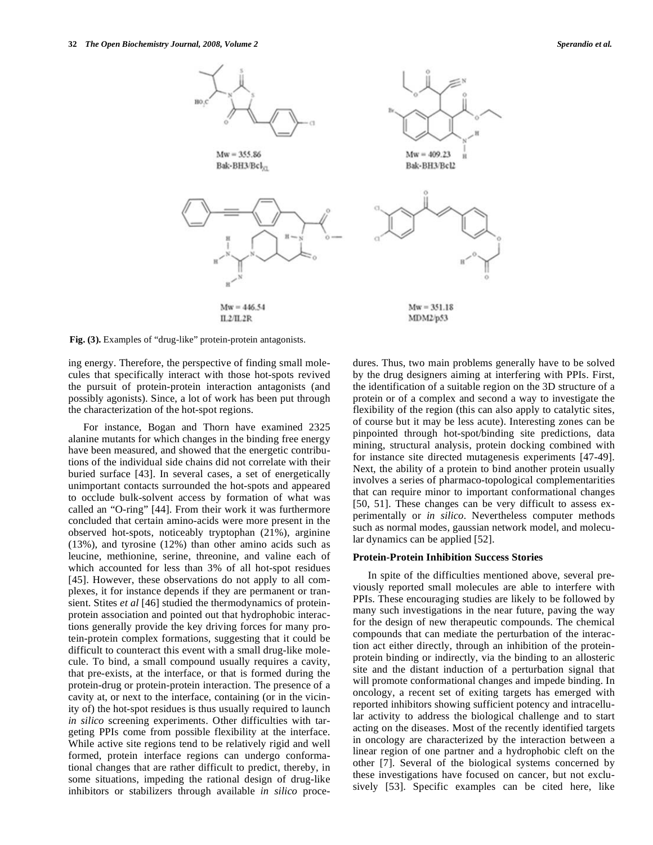

**Fig. (3).** Examples of "drug-like" protein-protein antagonists.

ing energy. Therefore, the perspective of finding small molecules that specifically interact with those hot-spots revived the pursuit of protein-protein interaction antagonists (and possibly agonists). Since, a lot of work has been put through the characterization of the hot-spot regions.

 For instance, Bogan and Thorn have examined 2325 alanine mutants for which changes in the binding free energy have been measured, and showed that the energetic contributions of the individual side chains did not correlate with their buried surface [43]. In several cases, a set of energetically unimportant contacts surrounded the hot-spots and appeared to occlude bulk-solvent access by formation of what was called an "O-ring" [44]. From their work it was furthermore concluded that certain amino-acids were more present in the observed hot-spots, noticeably tryptophan (21%), arginine (13%), and tyrosine (12%) than other amino acids such as leucine, methionine, serine, threonine, and valine each of which accounted for less than 3% of all hot-spot residues [45]. However, these observations do not apply to all complexes, it for instance depends if they are permanent or transient. Stites *et al* [46] studied the thermodynamics of proteinprotein association and pointed out that hydrophobic interactions generally provide the key driving forces for many protein-protein complex formations, suggesting that it could be difficult to counteract this event with a small drug-like molecule. To bind, a small compound usually requires a cavity, that pre-exists, at the interface, or that is formed during the protein-drug or protein-protein interaction. The presence of a cavity at, or next to the interface, containing (or in the vicinity of) the hot-spot residues is thus usually required to launch *in silico* screening experiments. Other difficulties with targeting PPIs come from possible flexibility at the interface. While active site regions tend to be relatively rigid and well formed, protein interface regions can undergo conformational changes that are rather difficult to predict, thereby, in some situations, impeding the rational design of drug-like inhibitors or stabilizers through available *in silico* procedures. Thus, two main problems generally have to be solved by the drug designers aiming at interfering with PPIs. First, the identification of a suitable region on the 3D structure of a protein or of a complex and second a way to investigate the flexibility of the region (this can also apply to catalytic sites, of course but it may be less acute). Interesting zones can be pinpointed through hot-spot/binding site predictions, data mining, structural analysis, protein docking combined with for instance site directed mutagenesis experiments [47-49]. Next, the ability of a protein to bind another protein usually involves a series of pharmaco-topological complementarities that can require minor to important conformational changes [50, 51]. These changes can be very difficult to assess experimentally or *in silico*. Nevertheless computer methods such as normal modes, gaussian network model, and molecular dynamics can be applied [52].

#### **Protein-Protein Inhibition Success Stories**

 In spite of the difficulties mentioned above, several previously reported small molecules are able to interfere with PPIs. These encouraging studies are likely to be followed by many such investigations in the near future, paving the way for the design of new therapeutic compounds. The chemical compounds that can mediate the perturbation of the interaction act either directly, through an inhibition of the proteinprotein binding or indirectly, via the binding to an allosteric site and the distant induction of a perturbation signal that will promote conformational changes and impede binding. In oncology, a recent set of exiting targets has emerged with reported inhibitors showing sufficient potency and intracellular activity to address the biological challenge and to start acting on the diseases. Most of the recently identified targets in oncology are characterized by the interaction between a linear region of one partner and a hydrophobic cleft on the other [7]. Several of the biological systems concerned by these investigations have focused on cancer, but not exclusively [53]. Specific examples can be cited here, like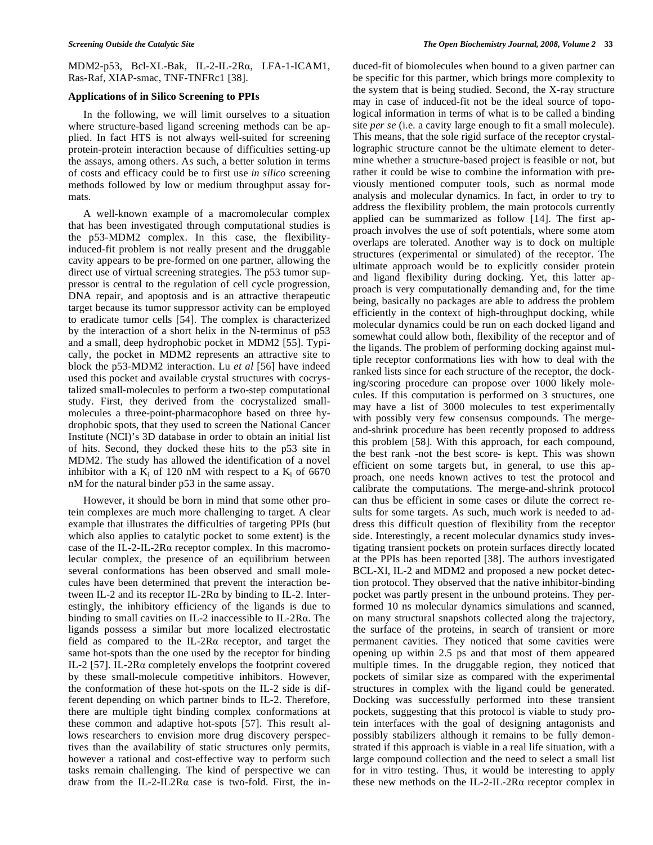MDM2-p53, Bcl-XL-Bak, IL-2-IL-2R $\alpha$ , LFA-1-ICAM1, Ras-Raf, XIAP-smac, TNF-TNFRc1 [38].

# **Applications of in Silico Screening to PPIs**

 In the following, we will limit ourselves to a situation where structure-based ligand screening methods can be applied. In fact HTS is not always well-suited for screening protein-protein interaction because of difficulties setting-up the assays, among others. As such, a better solution in terms of costs and efficacy could be to first use *in silico* screening methods followed by low or medium throughput assay formats.

 A well-known example of a macromolecular complex that has been investigated through computational studies is the p53-MDM2 complex. In this case, the flexibilityinduced-fit problem is not really present and the druggable cavity appears to be pre-formed on one partner, allowing the direct use of virtual screening strategies. The p53 tumor suppressor is central to the regulation of cell cycle progression, DNA repair, and apoptosis and is an attractive therapeutic target because its tumor suppressor activity can be employed to eradicate tumor cells [54]. The complex is characterized by the interaction of a short helix in the N-terminus of p53 and a small, deep hydrophobic pocket in MDM2 [55]. Typically, the pocket in MDM2 represents an attractive site to block the p53-MDM2 interaction. Lu *et al* [56] have indeed used this pocket and available crystal structures with cocrystalized small-molecules to perform a two-step computational study. First, they derived from the cocrystalized smallmolecules a three-point-pharmacophore based on three hydrophobic spots, that they used to screen the National Cancer Institute (NCI)'s 3D database in order to obtain an initial list of hits. Second, they docked these hits to the p53 site in MDM2. The study has allowed the identification of a novel inhibitor with a  $K_i$  of 120 nM with respect to a  $K_i$  of 6670 nM for the natural binder p53 in the same assay.

 However, it should be born in mind that some other protein complexes are much more challenging to target. A clear example that illustrates the difficulties of targeting PPIs (but which also applies to catalytic pocket to some extent) is the case of the IL-2-IL-2R $\alpha$  receptor complex. In this macromolecular complex, the presence of an equilibrium between several conformations has been observed and small molecules have been determined that prevent the interaction between IL-2 and its receptor IL-2R $\alpha$  by binding to IL-2. Interestingly, the inhibitory efficiency of the ligands is due to binding to small cavities on IL-2 inaccessible to IL-2R $\alpha$ . The ligands possess a similar but more localized electrostatic field as compared to the IL-2R $\alpha$  receptor, and target the same hot-spots than the one used by the receptor for binding IL-2 [57]. IL-2R $\alpha$  completely envelops the footprint covered by these small-molecule competitive inhibitors. However, the conformation of these hot-spots on the IL-2 side is different depending on which partner binds to IL-2. Therefore, there are multiple tight binding complex conformations at these common and adaptive hot-spots [57]. This result allows researchers to envision more drug discovery perspectives than the availability of static structures only permits, however a rational and cost-effective way to perform such tasks remain challenging. The kind of perspective we can draw from the IL-2-IL2R $\alpha$  case is two-fold. First, the induced-fit of biomolecules when bound to a given partner can be specific for this partner, which brings more complexity to the system that is being studied. Second, the X-ray structure may in case of induced-fit not be the ideal source of topological information in terms of what is to be called a binding site *per se* (i.e. a cavity large enough to fit a small molecule). This means, that the sole rigid surface of the receptor crystallographic structure cannot be the ultimate element to determine whether a structure-based project is feasible or not, but rather it could be wise to combine the information with previously mentioned computer tools, such as normal mode analysis and molecular dynamics. In fact, in order to try to address the flexibility problem, the main protocols currently applied can be summarized as follow [14]. The first approach involves the use of soft potentials, where some atom overlaps are tolerated. Another way is to dock on multiple structures (experimental or simulated) of the receptor. The ultimate approach would be to explicitly consider protein and ligand flexibility during docking. Yet, this latter approach is very computationally demanding and, for the time being, basically no packages are able to address the problem efficiently in the context of high-throughput docking, while molecular dynamics could be run on each docked ligand and somewhat could allow both, flexibility of the receptor and of the ligands. The problem of performing docking against multiple receptor conformations lies with how to deal with the ranked lists since for each structure of the receptor, the docking/scoring procedure can propose over 1000 likely molecules. If this computation is performed on 3 structures, one may have a list of 3000 molecules to test experimentally with possibly very few consensus compounds. The mergeand-shrink procedure has been recently proposed to address this problem [58]. With this approach, for each compound, the best rank -not the best score- is kept. This was shown efficient on some targets but, in general, to use this approach, one needs known actives to test the protocol and calibrate the computations. The merge-and-shrink protocol can thus be efficient in some cases or dilute the correct results for some targets. As such, much work is needed to address this difficult question of flexibility from the receptor side. Interestingly, a recent molecular dynamics study investigating transient pockets on protein surfaces directly located at the PPIs has been reported [38]. The authors investigated BCL-Xl, IL-2 and MDM2 and proposed a new pocket detection protocol. They observed that the native inhibitor-binding pocket was partly present in the unbound proteins. They performed 10 ns molecular dynamics simulations and scanned, on many structural snapshots collected along the trajectory, the surface of the proteins, in search of transient or more permanent cavities. They noticed that some cavities were opening up within 2.5 ps and that most of them appeared multiple times. In the druggable region, they noticed that pockets of similar size as compared with the experimental structures in complex with the ligand could be generated. Docking was successfully performed into these transient pockets, suggesting that this protocol is viable to study protein interfaces with the goal of designing antagonists and possibly stabilizers although it remains to be fully demonstrated if this approach is viable in a real life situation, with a large compound collection and the need to select a small list for in vitro testing. Thus, it would be interesting to apply these new methods on the IL-2-IL-2R $\alpha$  receptor complex in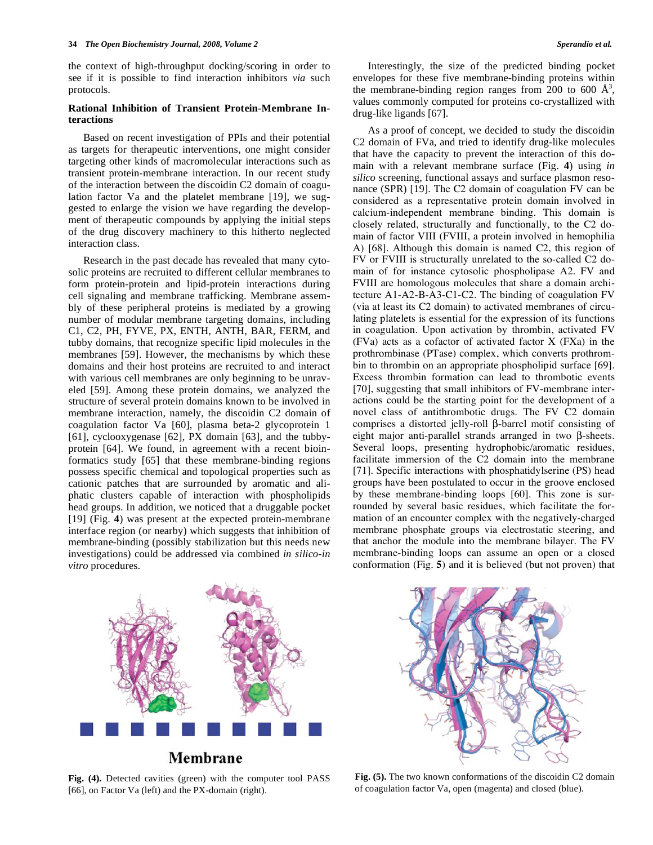the context of high-throughput docking/scoring in order to see if it is possible to find interaction inhibitors *via* such protocols.

## **Rational Inhibition of Transient Protein-Membrane Interactions**

 Based on recent investigation of PPIs and their potential as targets for therapeutic interventions, one might consider targeting other kinds of macromolecular interactions such as transient protein-membrane interaction. In our recent study of the interaction between the discoidin C2 domain of coagulation factor Va and the platelet membrane [19], we suggested to enlarge the vision we have regarding the development of therapeutic compounds by applying the initial steps of the drug discovery machinery to this hitherto neglected interaction class.

 Research in the past decade has revealed that many cytosolic proteins are recruited to different cellular membranes to form protein-protein and lipid-protein interactions during cell signaling and membrane trafficking. Membrane assembly of these peripheral proteins is mediated by a growing number of modular membrane targeting domains, including C1, C2, PH, FYVE, PX, ENTH, ANTH, BAR, FERM, and tubby domains, that recognize specific lipid molecules in the membranes [59]. However, the mechanisms by which these domains and their host proteins are recruited to and interact with various cell membranes are only beginning to be unraveled [59]. Among these protein domains, we analyzed the structure of several protein domains known to be involved in membrane interaction, namely, the discoidin C2 domain of coagulation factor Va [60], plasma beta-2 glycoprotein 1 [61], cyclooxygenase [62], PX domain [63], and the tubbyprotein [64]. We found, in agreement with a recent bioinformatics study [65] that these membrane-binding regions possess specific chemical and topological properties such as cationic patches that are surrounded by aromatic and aliphatic clusters capable of interaction with phospholipids head groups. In addition, we noticed that a druggable pocket [19] (Fig. **4**) was present at the expected protein-membrane interface region (or nearby) which suggests that inhibition of membrane-binding (possibly stabilization but this needs new investigations) could be addressed via combined *in silico-in vitro* procedures.

 Interestingly, the size of the predicted binding pocket envelopes for these five membrane-binding proteins within the membrane-binding region ranges from 200 to 600  $\AA^3$ , values commonly computed for proteins co-crystallized with drug-like ligands [67].

 As a proof of concept, we decided to study the discoidin C2 domain of FVa, and tried to identify drug-like molecules that have the capacity to prevent the interaction of this domain with a relevant membrane surface (Fig. **4**) using *in silico* screening, functional assays and surface plasmon resonance (SPR) [19]. The C2 domain of coagulation FV can be considered as a representative protein domain involved in calcium-independent membrane binding. This domain is closely related, structurally and functionally, to the C2 domain of factor VIII (FVIII, a protein involved in hemophilia A) [68]. Although this domain is named C2, this region of FV or FVIII is structurally unrelated to the so-called C2 domain of for instance cytosolic phospholipase A2. FV and FVIII are homologous molecules that share a domain architecture A1-A2-B-A3-C1-C2. The binding of coagulation FV (via at least its C2 domain) to activated membranes of circulating platelets is essential for the expression of its functions in coagulation. Upon activation by thrombin, activated FV (FVa) acts as a cofactor of activated factor X (FXa) in the prothrombinase (PTase) complex, which converts prothrombin to thrombin on an appropriate phospholipid surface [69]. Excess thrombin formation can lead to thrombotic events [70], suggesting that small inhibitors of FV-membrane interactions could be the starting point for the development of a novel class of antithrombotic drugs. The FV C2 domain comprises a distorted jelly-roll  $\beta$ -barrel motif consisting of eight major anti-parallel strands arranged in two  $\beta$ -sheets. Several loops, presenting hydrophobic/aromatic residues, facilitate immersion of the C2 domain into the membrane [71]. Specific interactions with phosphatidylserine (PS) head groups have been postulated to occur in the groove enclosed by these membrane-binding loops [60]. This zone is surrounded by several basic residues, which facilitate the formation of an encounter complex with the negatively-charged membrane phosphate groups via electrostatic steering, and that anchor the module into the membrane bilayer. The FV membrane-binding loops can assume an open or a closed conformation (Fig. **5**) and it is believed (but not proven) that



# Membrane

**Fig. (4).** Detected cavities (green) with the computer tool PASS [66], on Factor Va (left) and the PX-domain (right).



**Fig. (5).** The two known conformations of the discoidin C2 domain of coagulation factor Va, open (magenta) and closed (blue).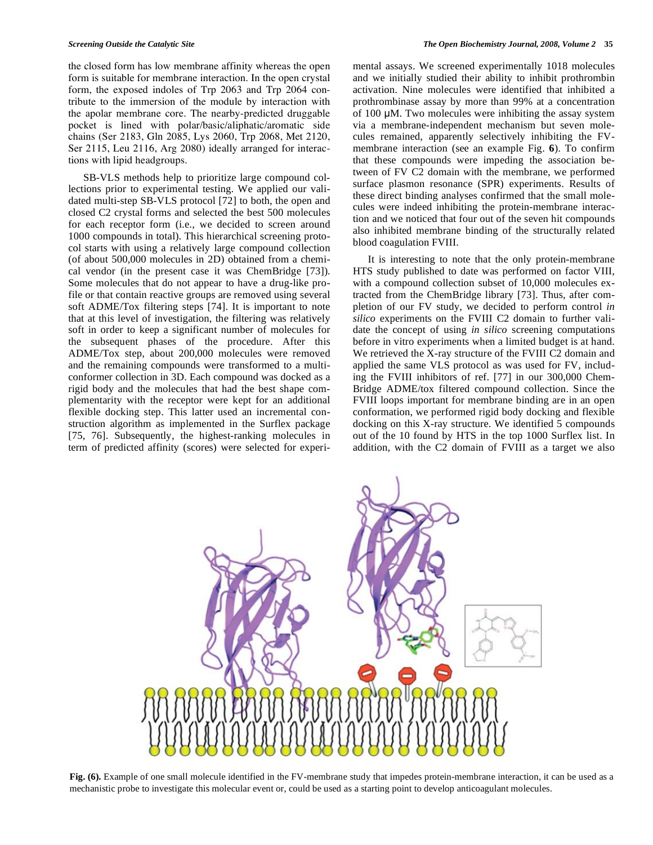the closed form has low membrane affinity whereas the open form is suitable for membrane interaction. In the open crystal form, the exposed indoles of Trp 2063 and Trp 2064 contribute to the immersion of the module by interaction with the apolar membrane core. The nearby-predicted druggable pocket is lined with polar/basic/aliphatic/aromatic side chains (Ser 2183, Gln 2085, Lys 2060, Trp 2068, Met 2120, Ser 2115, Leu 2116, Arg 2080) ideally arranged for interactions with lipid headgroups.

 SB-VLS methods help to prioritize large compound collections prior to experimental testing. We applied our validated multi-step SB-VLS protocol [72] to both, the open and closed C2 crystal forms and selected the best 500 molecules for each receptor form (i.e., we decided to screen around 1000 compounds in total). This hierarchical screening protocol starts with using a relatively large compound collection (of about 500,000 molecules in 2D) obtained from a chemical vendor (in the present case it was ChemBridge [73]). Some molecules that do not appear to have a drug-like profile or that contain reactive groups are removed using several soft ADME/Tox filtering steps [74]. It is important to note that at this level of investigation, the filtering was relatively soft in order to keep a significant number of molecules for the subsequent phases of the procedure. After this ADME/Tox step, about 200,000 molecules were removed and the remaining compounds were transformed to a multiconformer collection in 3D. Each compound was docked as a rigid body and the molecules that had the best shape complementarity with the receptor were kept for an additional flexible docking step. This latter used an incremental construction algorithm as implemented in the Surflex package [75, 76]. Subsequently, the highest-ranking molecules in term of predicted affinity (scores) were selected for experimental assays. We screened experimentally 1018 molecules and we initially studied their ability to inhibit prothrombin activation. Nine molecules were identified that inhibited a prothrombinase assay by more than 99% at a concentration of 100 μM. Two molecules were inhibiting the assay system via a membrane-independent mechanism but seven molecules remained, apparently selectively inhibiting the FVmembrane interaction (see an example Fig. **6**). To confirm that these compounds were impeding the association between of FV C2 domain with the membrane, we performed surface plasmon resonance (SPR) experiments. Results of these direct binding analyses confirmed that the small molecules were indeed inhibiting the protein-membrane interaction and we noticed that four out of the seven hit compounds also inhibited membrane binding of the structurally related blood coagulation FVIII.

 It is interesting to note that the only protein-membrane HTS study published to date was performed on factor VIII, with a compound collection subset of 10,000 molecules extracted from the ChemBridge library [73]. Thus, after completion of our FV study, we decided to perform control *in silico* experiments on the FVIII C2 domain to further validate the concept of using *in silico* screening computations before in vitro experiments when a limited budget is at hand. We retrieved the X-ray structure of the FVIII C2 domain and applied the same VLS protocol as was used for FV, including the FVIII inhibitors of ref. [77] in our 300,000 Chem-Bridge ADME/tox filtered compound collection. Since the FVIII loops important for membrane binding are in an open conformation, we performed rigid body docking and flexible docking on this X-ray structure. We identified 5 compounds out of the 10 found by HTS in the top 1000 Surflex list. In addition, with the C2 domain of FVIII as a target we also



**Fig. (6).** Example of one small molecule identified in the FV-membrane study that impedes protein-membrane interaction, it can be used as a mechanistic probe to investigate this molecular event or, could be used as a starting point to develop anticoagulant molecules.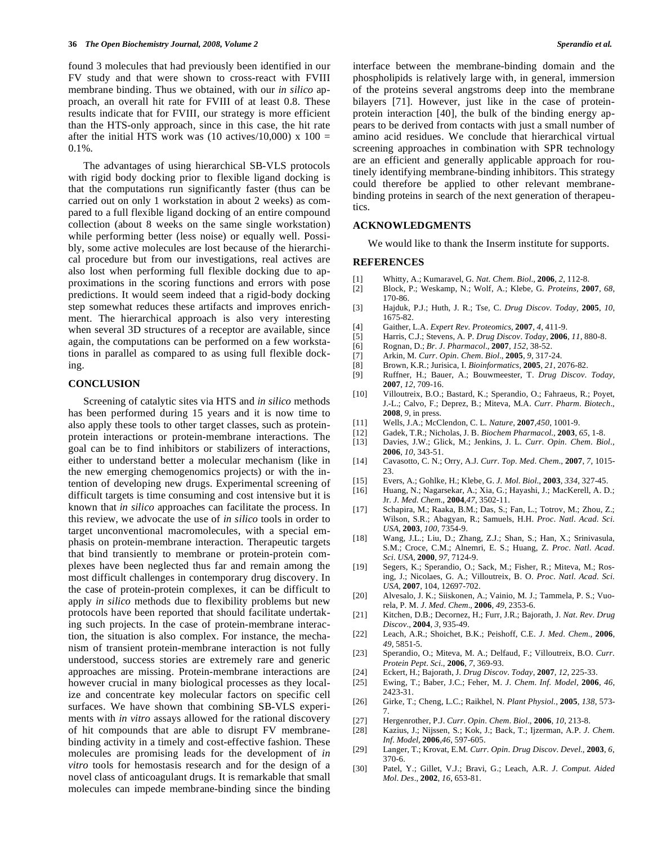found 3 molecules that had previously been identified in our FV study and that were shown to cross-react with FVIII membrane binding. Thus we obtained, with our *in silico* approach, an overall hit rate for FVIII of at least 0.8. These results indicate that for FVIII, our strategy is more efficient than the HTS-only approach, since in this case, the hit rate after the initial HTS work was (10 actives/10,000) x  $100 =$ 0.1%.

 The advantages of using hierarchical SB-VLS protocols with rigid body docking prior to flexible ligand docking is that the computations run significantly faster (thus can be carried out on only 1 workstation in about 2 weeks) as compared to a full flexible ligand docking of an entire compound collection (about 8 weeks on the same single workstation) while performing better (less noise) or equally well. Possibly, some active molecules are lost because of the hierarchical procedure but from our investigations, real actives are also lost when performing full flexible docking due to approximations in the scoring functions and errors with pose predictions. It would seem indeed that a rigid-body docking step somewhat reduces these artifacts and improves enrichment. The hierarchical approach is also very interesting when several 3D structures of a receptor are available, since again, the computations can be performed on a few workstations in parallel as compared to as using full flexible docking.

#### **CONCLUSION**

 Screening of catalytic sites via HTS and *in silico* methods has been performed during 15 years and it is now time to also apply these tools to other target classes, such as proteinprotein interactions or protein-membrane interactions. The goal can be to find inhibitors or stabilizers of interactions, either to understand better a molecular mechanism (like in the new emerging chemogenomics projects) or with the intention of developing new drugs. Experimental screening of difficult targets is time consuming and cost intensive but it is known that *in silico* approaches can facilitate the process. In this review, we advocate the use of *in silico* tools in order to target unconventional macromolecules, with a special emphasis on protein-membrane interaction. Therapeutic targets that bind transiently to membrane or protein-protein complexes have been neglected thus far and remain among the most difficult challenges in contemporary drug discovery. In the case of protein-protein complexes, it can be difficult to apply *in silico* methods due to flexibility problems but new protocols have been reported that should facilitate undertaking such projects. In the case of protein-membrane interaction, the situation is also complex. For instance, the mechanism of transient protein-membrane interaction is not fully understood, success stories are extremely rare and generic approaches are missing. Protein-membrane interactions are however crucial in many biological processes as they localize and concentrate key molecular factors on specific cell surfaces. We have shown that combining SB-VLS experiments with *in vitro* assays allowed for the rational discovery of hit compounds that are able to disrupt FV membranebinding activity in a timely and cost-effective fashion. These molecules are promising leads for the development of *in vitro* tools for hemostasis research and for the design of a novel class of anticoagulant drugs. It is remarkable that small molecules can impede membrane-binding since the binding

interface between the membrane-binding domain and the phospholipids is relatively large with, in general, immersion of the proteins several angstroms deep into the membrane bilayers [71]. However, just like in the case of proteinprotein interaction [40], the bulk of the binding energy appears to be derived from contacts with just a small number of amino acid residues. We conclude that hierarchical virtual screening approaches in combination with SPR technology are an efficient and generally applicable approach for routinely identifying membrane-binding inhibitors. This strategy could therefore be applied to other relevant membranebinding proteins in search of the next generation of therapeutics.

## **ACKNOWLEDGMENTS**

We would like to thank the Inserm institute for supports.

## **REFERENCES**

- [1] Whitty, A.; Kumaravel, G. *Nat*. *Chem*. *Biol*.*,* **2006**, *2*, 112-8.
- [2] Block, P.; Weskamp, N.; Wolf, A.; Klebe, G. *Proteins,* **2007**, *68*, 170-86.
- [3] Hajduk, P.J.; Huth, J. R.; Tse, C. *Drug Discov. Today,* **2005**, *10*, 1675-82.
- [4] Gaither, L.A. *Expert Rev. Proteomics,* **2007**, *4*, 411-9.
- [5] Harris, C.J.; Stevens, A. P. *Drug Discov*. *Today,* **2006**, *11*, 880-8.
- [6] Rognan, D.; *Br*. *J*. *Pharmacol*.*,* **2007**, *152*, 38-52.
- [7] Arkin, M. *Curr*. *Opin*. *Chem*. *Biol*.*,* **2005**, *9*, 317-24.
- [8] Brown, K.R.; Jurisica, I. *Bioinformatics,* **2005**, *21*, 2076-82.
- [9] Ruffner, H.; Bauer, A.; Bouwmeester, T. *Drug Discov*. *Today,* **2007**, *12*, 709-16.
- [10] Villoutreix, B.O.; Bastard, K.; Sperandio, O.; Fahraeus, R.; Poyet, J.-L.; Calvo, F.; Deprez, B.; Miteva, M.A. *Curr*. *Pharm*. *Biotech*.*,* **2008**, *9*, in press.
- [11] Wells, J.A.; McClendon, C. L. *Nature,* **2007**,*450*, 1001-9.
- [12] Gadek, T.R.; Nicholas, J. B. *Biochem Pharmacol.,* **2003**, *65*, 1-8.
- [13] Davies, J.W.; Glick, M.; Jenkins, J. L. *Curr*. *Opin*. *Chem*. *Biol*.*,* **2006**, *10*, 343-51.
- [14] Cavasotto, C. N.; Orry, A.J. *Curr*. *Top*. *Med*. *Chem*.*,* **2007**, *7*, 1015- 23.
- [15] Evers, A.; Gohlke, H.; Klebe, G. *J*. *Mol*. *Biol*.*,* **2003**, *334*, 327-45.
- [16] Huang, N.; Nagarsekar, A.; Xia, G.; Hayashi, J.; MacKerell, A. D.; Jr. *J*. *Med*. *Chem*.*,* **2004**,*47*, 3502-11.
- [17] Schapira, M.; Raaka, B.M.; Das, S.; Fan, L.; Totrov, M.; Zhou, Z.; Wilson, S.R.; Abagyan, R.; Samuels, H.H. *Proc*. *Natl*. *Acad*. *Sci*. *USA,* **2003**, *100*, 7354-9.
- [18] Wang, J.L.; Liu, D.; Zhang, Z.J.; Shan, S.; Han, X.; Srinivasula, S.M.; Croce, C.M.; Alnemri, E. S.; Huang, Z. *Proc*. *Natl*. *Acad*. *Sci*. *USA,* **2000**, *97*, 7124-9.
- [19] Segers, K.; Sperandio, O.; Sack, M.; Fisher, R.; Miteva, M.; Rosing, J.; Nicolaes, G. A.; Villoutreix, B. O. *Proc*. *Natl*. *Acad*. *Sci*. *USA,* **2007**, 104, 12697-702.
- [20] Alvesalo, J. K.; Siiskonen, A.; Vainio, M. J.; Tammela, P. S.; Vuorela, P. M. *J*. *Med*. *Chem*.*,* **2006**, *49*, 2353-6.
- [21] Kitchen, D.B.; Decornez, H.; Furr, J.R.; Bajorath, J. *Nat*. *Rev*. *Drug Discov*.*,* **2004**, *3*, 935-49.
- [22] Leach, A.R.; Shoichet, B.K.; Peishoff, C.E. *J*. *Med*. *Chem*.*,* **2006**, *49*, 5851-5.
- [23] Sperandio, O.; Miteva, M. A.; Delfaud, F.; Villoutreix, B.O. *Curr*. *Protein Pept*. *Sci*.*,* **2006**, *7*, 369-93.
- [24] Eckert, H.; Bajorath, J. *Drug Discov*. *Today,* **2007**, *12*, 225-33.
- [25] Ewing, T.; Baber, J.C.; Feher, M. *J*. *Chem*. *Inf*. *Model,* **2006**, *46*, 2423-31.
- [26] Girke, T.; Cheng, L.C.; Raikhel, N. *Plant Physiol*.*,* **2005**, *138*, 573- 7.
- [27] Hergenrother, P.J. *Curr*. *Opin*. *Chem*. *Biol*.*,* **2006**, *10*, 213-8.
- [28] Kazius, J.; Nijssen, S.; Kok, J.; Back, T.; Ijzerman, A.P. *J*. *Chem*. *Inf*. *Model,* **2006**,*46*, 597-605.
- [29] Langer, T.; Krovat, E.M. *Curr*. *Opin*. *Drug Discov*. *Devel.,* **2003**, *6*, 370-6.
- [30] Patel, Y.; Gillet, V.J.; Bravi, G.; Leach, A.R. *J*. *Comput*. *Aided Mol*. *Des*.*,* **2002**, *16*, 653-81.